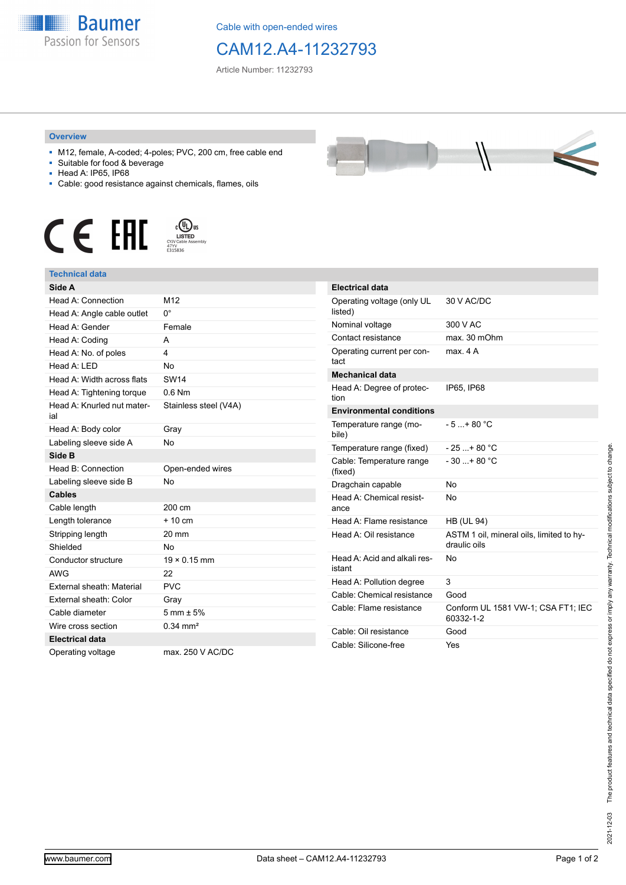

Cable with open-ended wires

## CAM12.A4-11232793

Article Number: 11232793

## **Overview**

- M12, female, A-coded; 4-poles; PVC, 200 cm, free cable end
- Suitable for food & beverage
- Head A: IP65, IP68
- Cable: good resistance against chemicals, flames, oils







| Side A                            |                        | <b>Electrical da</b> |
|-----------------------------------|------------------------|----------------------|
| Head A: Connection                | M12                    | Operating vol        |
| Head A: Angle cable outlet        | 0°                     | listed)              |
| Head A: Gender                    | Female                 | Nominal volta        |
| Head A: Coding                    | A                      | Contact resist       |
| Head A: No. of poles              | 4                      | Operating cur        |
| Head A: LED                       | N <sub>0</sub>         | tact                 |
| Head A: Width across flats        | <b>SW14</b>            | <b>Mechanical</b> o  |
| Head A: Tightening torque         | $0.6$ Nm               | Head A: Degr<br>tion |
| Head A: Knurled nut mater-<br>ial | Stainless steel (V4A)  | Environment          |
| Head A: Body color                | Gray                   | Temperature<br>bile) |
| Labeling sleeve side A            | N <sub>0</sub>         | Temperature          |
| Side B                            |                        | Cable: Tempe         |
| Head B: Connection                | Open-ended wires       | (fixed)              |
| Labeling sleeve side B            | <b>No</b>              | Dragchain ca         |
| <b>Cables</b>                     |                        | Head A: Cher         |
| Cable length                      | 200 cm                 | ance                 |
| Length tolerance                  | $+10cm$                | Head A: Flam         |
| Stripping length                  | 20 mm                  | Head A: Oil re       |
| Shielded                          | <b>No</b>              |                      |
| Conductor structure               | $19 \times 0.15$ mm    | Head A: Acid         |
| <b>AWG</b>                        | 22                     | istant               |
| External sheath: Material         | <b>PVC</b>             | Head A: Pollu        |
| External sheath: Color            | Gray                   | Cable: Chemi         |
| Cable diameter                    | $5 \text{ mm} \pm 5\%$ | Cable: Flame         |
| Wire cross section                | $0.34$ mm <sup>2</sup> | Cable: Oil res       |
| <b>Electrical data</b>            |                        | Cable: Silicon       |
| Operating voltage                 | max. 250 V AC/DC       |                      |

| <b>STATE</b> |  |  |
|--------------|--|--|
|              |  |  |

| <b>Electrical data</b>                 |                                                          |
|----------------------------------------|----------------------------------------------------------|
| Operating voltage (only UL<br>listed)  | 30 V AC/DC                                               |
| Nominal voltage                        | 300 V AC                                                 |
| Contact resistance                     | max. 30 mOhm                                             |
| Operating current per con-<br>tact     | max 4 A                                                  |
| <b>Mechanical data</b>                 |                                                          |
| Head A: Degree of protec-<br>tion      | IP65, IP68                                               |
| <b>Environmental conditions</b>        |                                                          |
| Temperature range (mo-<br>bile)        | $-5+80 °C$                                               |
| Temperature range (fixed)              | $-25+80 °C$                                              |
| Cable: Temperature range<br>(fixed)    | $-30+80 °C$                                              |
| Dragchain capable                      | No                                                       |
| Head A: Chemical resist-<br>ance       | No                                                       |
| Head A: Flame resistance               | <b>HB (UL 94)</b>                                        |
| Head A: Oil resistance                 | ASTM 1 oil, mineral oils, limited to hy-<br>draulic oils |
| Head A: Acid and alkali res-<br>istant | No                                                       |
| Head A: Pollution degree               | 3                                                        |
| Cable: Chemical resistance             | Good                                                     |
| Cable: Flame resistance                | Conform UL 1581 VW-1; CSA FT1; IEC<br>60332-1-2          |
| Cable: Oil resistance                  | Good                                                     |
| Cable: Silicone-free                   | Yes                                                      |